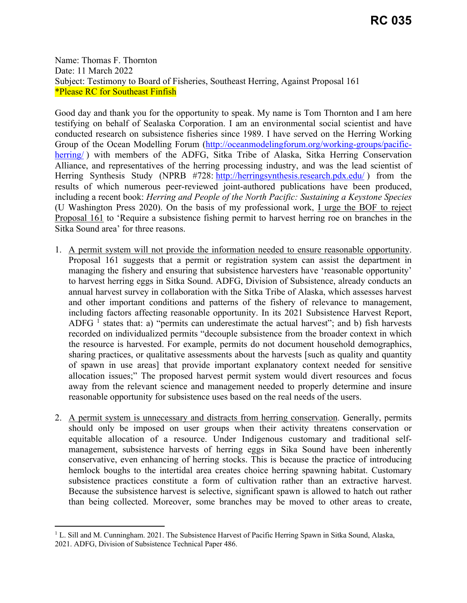Name: Thomas F. Thornton Date: 11 March 2022 Subject: Testimony to Board of Fisheries, Southeast Herring, Against Proposal 161 \*Please RC for Southeast Finfish

Good day and thank you for the opportunity to speak. My name is Tom Thornton and I am here testifying on behalf of Sealaska Corporation. I am an environmental social scientist and have conducted research on subsistence fisheries since 1989. I have served on the Herring Working Group of the Ocean Modelling Forum (http://oceanmodelingforum.org/working-groups/pacificherring/) with members of the ADFG, Sitka Tribe of Alaska, Sitka Herring Conservation Alliance, and representatives of the herring processing industry, and was the lead scientist of Herring Synthesis Study (NPRB #728: http://herringsynthesis.research.pdx.edu/) from the results of which numerous peer-reviewed joint-authored publications have been produced, including a recent book: *Herring and People of the North Pacific: Sustaining a Keystone Species*  (U Washington Press 2020). On the basis of my professional work, I urge the BOF to reject Proposal 161 to 'Require a subsistence fishing permit to harvest herring roe on branches in the Sitka Sound area' for three reasons.

- 1. A permit system will not provide the information needed to ensure reasonable opportunity. Proposal 161 suggests that a permit or registration system can assist the department in managing the fishery and ensuring that subsistence harvesters have 'reasonable opportunity' to harvest herring eggs in Sitka Sound. ADFG, Division of Subsistence, already conducts an annual harvest survey in collaboration with the Sitka Tribe of Alaska, which assesses harvest and other important conditions and patterns of the fishery of relevance to management, including factors affecting reasonable opportunity. In its 2021 Subsistence Harvest Report, ADFG  $<sup>1</sup>$  states that: a) "permits can underestimate the actual harvest"; and b) fish harvests</sup> recorded on individualized permits "decouple subsistence from the broader context in which the resource is harvested. For example, permits do not document household demographics, sharing practices, or qualitative assessments about the harvests [such as quality and quantity of spawn in use areas] that provide important explanatory context needed for sensitive allocation issues;" The proposed harvest permit system would divert resources and focus away from the relevant science and management needed to properly determine and insure reasonable opportunity for subsistence uses based on the real needs of the users.
- 2. A permit system is unnecessary and distracts from herring conservation. Generally, permits should only be imposed on user groups when their activity threatens conservation or equitable allocation of a resource. Under Indigenous customary and traditional selfmanagement, subsistence harvests of herring eggs in Sika Sound have been inherently conservative, even enhancing of herring stocks. This is because the practice of introducing hemlock boughs to the intertidal area creates choice herring spawning habitat. Customary subsistence practices constitute a form of cultivation rather than an extractive harvest. Because the subsistence harvest is selective, significant spawn is allowed to hatch out rather than being collected. Moreover, some branches may be moved to other areas to create,

<sup>&</sup>lt;sup>1</sup> L. Sill and M. Cunningham. 2021. The Subsistence Harvest of Pacific Herring Spawn in Sitka Sound, Alaska, 2021. ADFG, Division of Subsistence Technical Paper 486.